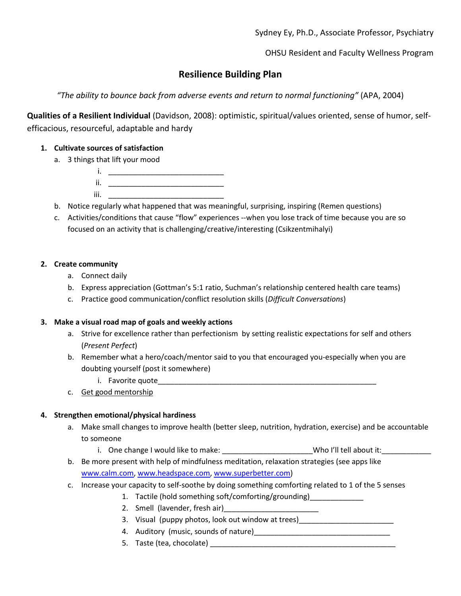OHSU Resident and Faculty Wellness Program

# **Resilience Building Plan**

*"The ability to bounce back from adverse events and return to normal functioning"* (APA, 2004)

**Qualities of a Resilient Individual** (Davidson, 2008): optimistic, spiritual/values oriented, sense of humor, selfefficacious, resourceful, adaptable and hardy

## **1. Cultivate sources of satisfaction**

- a. 3 things that lift your mood
	- i. \_\_\_\_\_\_\_\_\_\_\_\_\_\_\_\_\_\_\_\_\_\_\_\_\_\_\_\_ ii. \_\_\_\_\_\_\_\_\_\_\_\_\_\_\_\_\_\_\_\_\_\_\_\_\_\_\_\_
	- $iii.$   $\Box$
- b. Notice regularly what happened that was meaningful, surprising, inspiring (Remen questions)
- c. Activities/conditions that cause "flow" experiences --when you lose track of time because you are so focused on an activity that is challenging/creative/interesting (Csikzentmihalyi)

#### **2. Create community**

- a. Connect daily
- b. Express appreciation (Gottman's 5:1 ratio, Suchman's relationship centered health care teams)
- c. Practice good communication/conflict resolution skills (*Difficult Conversations*)

#### **3. Make a visual road map of goals and weekly actions**

- a. Strive for excellence rather than perfectionism by setting realistic expectations for self and others (*Present Perfect*)
- b. Remember what a hero/coach/mentor said to you that encouraged you-especially when you are doubting yourself (post it somewhere)
	- i. Favorite quote\_\_\_\_\_\_\_\_\_\_\_\_\_\_\_\_\_\_\_\_\_\_\_\_\_\_\_\_\_\_\_\_\_\_\_\_\_\_\_\_\_\_\_\_\_\_\_\_\_\_\_\_\_
- c. Get good mentorship

## **4. Strengthen emotional/physical hardiness**

- a. Make small changes to improve health (better sleep, nutrition, hydration, exercise) and be accountable to someone
	- i. One change I would like to make: \_\_\_\_\_\_\_\_\_\_\_\_\_\_\_\_\_\_\_\_\_\_\_\_\_\_Who I'll tell about it:
- b. Be more present with help of mindfulness meditation, relaxation strategies (see apps like [www.calm.com,](http://www.calm.com/) [www.headspace.com,](http://www.headspace.com/) [www.superbetter.com\)](http://www.superbetter.com/)
- c. Increase your capacity to self-soothe by doing something comforting related to 1 of the 5 senses
	- 1. Tactile (hold something soft/comforting/grounding)\_\_\_\_\_\_\_\_\_\_\_\_\_
	- 2. Smell (lavender, fresh air)
	- 3. Visual (puppy photos, look out window at trees)\_\_\_\_\_\_\_\_\_\_\_\_\_\_\_\_\_\_\_\_\_\_\_\_\_\_\_\_\_\_
	- 4. Auditory (music, sounds of nature)
	- 5. Taste (tea, chocolate) **Example 20**